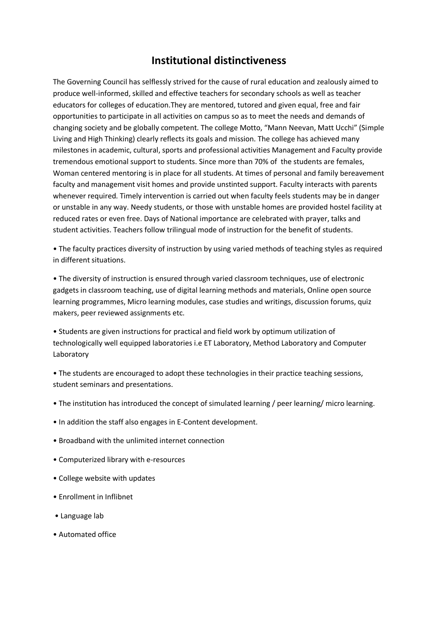## **Institutional distinctiveness**

The Governing Council has selflessly strived for the cause of rural education and zealously aimed to produce well-informed, skilled and effective teachers for secondary schools as well as teacher educators for colleges of education.They are mentored, tutored and given equal, free and fair opportunities to participate in all activities on campus so as to meet the needs and demands of changing society and be globally competent. The college Motto, "Mann Neevan, Matt Ucchi" (Simple Living and High Thinking) clearly reflects its goals and mission. The college has achieved many milestones in academic, cultural, sports and professional activities Management and Faculty provide tremendous emotional support to students. Since more than 70% of the students are females, Woman centered mentoring is in place for all students. At times of personal and family bereavement faculty and management visit homes and provide unstinted support. Faculty interacts with parents whenever required. Timely intervention is carried out when faculty feels students may be in danger or unstable in any way. Needy students, or those with unstable homes are provided hostel facility at reduced rates or even free. Days of National importance are celebrated with prayer, talks and student activities. Teachers follow trilingual mode of instruction for the benefit of students.

• The faculty practices diversity of instruction by using varied methods of teaching styles as required in different situations.

• The diversity of instruction is ensured through varied classroom techniques, use of electronic gadgets in classroom teaching, use of digital learning methods and materials, Online open source learning programmes, Micro learning modules, case studies and writings, discussion forums, quiz makers, peer reviewed assignments etc.

• Students are given instructions for practical and field work by optimum utilization of technologically well equipped laboratories i.e ET Laboratory, Method Laboratory and Computer Laboratory

• The students are encouraged to adopt these technologies in their practice teaching sessions, student seminars and presentations.

- The institution has introduced the concept of simulated learning / peer learning/ micro learning.
- In addition the staff also engages in E-Content development.
- Broadband with the unlimited internet connection
- Computerized library with e-resources
- College website with updates
- Enrollment in Inflibnet
- Language lab
- Automated office